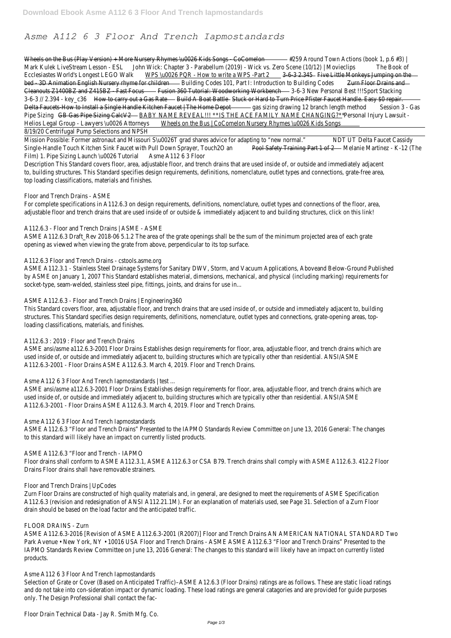# *Asme A112 6 3 Floor And Trench Iapmostandards*

|                                                                                                                                                         | Wheels on the Bus (Play Version) + More Nursery Rhymes \uOO26 Kids Songs CoComelon = #259 Around Town Actions (book 1, p.6 #3) |                                                                |        |                           |  |  |
|---------------------------------------------------------------------------------------------------------------------------------------------------------|--------------------------------------------------------------------------------------------------------------------------------|----------------------------------------------------------------|--------|---------------------------|--|--|
| Mark Kulek LiveStream Lesson - ESL                                                                                                                      | John Wick: Chapter 3 - Parabellum (2019) - Wick vs. Zero Scene (10/12)   Movieclips                                            |                                                                |        | The Book of               |  |  |
| Ecclesiastes World's Longest LEGO Walk                                                                                                                  |                                                                                                                                |                                                                |        |                           |  |  |
| bed 3D Animation English Nursery rhyme for children entitled and Building Codes 101, Part I: Introduction to Building Codes                             |                                                                                                                                |                                                                |        | Zurn Floor Drains and     |  |  |
| Cleanouts Z1400BZ and Z415BZ Fast Focus Fusion 360 Tutorial: Woodworking Workbench 3-6-3 New Personal Best !!!Sport Stacking                            |                                                                                                                                |                                                                |        |                           |  |  |
| 3-6-3 // 2.394 - key_c36    How to carry out a Gas Rate      Build A Boat Battle    Stuck or Hard to Turn Price Pfister Faucet Handle. Easy \$0 repair. |                                                                                                                                |                                                                |        |                           |  |  |
| Delta Faucets How to Install a Single Handle Kitchen Faucet   The Home Depot _______________________ gas sizing drawing 12 branch length method         |                                                                                                                                |                                                                |        | Session 3 - Gas           |  |  |
| Pipe Sizing                                                                                                                                             | GB Gas Pipe Sizing CalcV2 BABY NAME REVEAL!!! ** IS THE ACE FAMILY NAME CHANGING? **                                           |                                                                |        | Personal Injury Lawsuit - |  |  |
| Helios Legal Group - Lawyers \u0026 Attorneys                                                                                                           |                                                                                                                                | Wheels on the Bus   CoComelon Nursery Rhymes \u0026 Kids Songs |        |                           |  |  |
| 8/19/20 Centrifugal Pump Selections and NPSH                                                                                                            |                                                                                                                                |                                                                |        |                           |  |  |
| Mission Possible: Former astronaut and Missouri S\u0026T grad shares advice for adapting to "new normal."                                               |                                                                                                                                |                                                                | NDT UT | Delta Faucet Cassidy      |  |  |
| Single-Handle Touch Kitchen Sink Faucet with Pull Down Sprayer, Touch20 an                                                                              |                                                                                                                                | Pool Safety Training Part 1 of 2 Melanie Martinez - K-12 (The  |        |                           |  |  |
| Film) 1. Pipe Sizing Launch \u0026 Tutorial 6 Asme A112 6 3 Floor                                                                                       |                                                                                                                                |                                                                |        |                           |  |  |
| Description This Standard covers floor, area, adjustable floor, and trench drains that are used inside of, or outside and immediately adjacent          |                                                                                                                                |                                                                |        |                           |  |  |
| to, building structures. This Standard specifies design requirements, definitions, nomenclature, outlet types and connections, grate-free area,         |                                                                                                                                |                                                                |        |                           |  |  |
| top loading classifications, materials and finishes.                                                                                                    |                                                                                                                                |                                                                |        |                           |  |  |
| Floor and Trench Drains - ASME                                                                                                                          |                                                                                                                                |                                                                |        |                           |  |  |
|                                                                                                                                                         |                                                                                                                                |                                                                |        |                           |  |  |
| For complete specifications in A112.6.3 on design requirements, definitions, nomenclature, outlet types and connections of the floor, area,             |                                                                                                                                |                                                                |        |                           |  |  |

#### A112.6.3 - Floor and Trench Drains | ASME - ASME

ASME A112.6.3 Draft\_Rev 2018-06 5.1.2 The area of the grate openings shall be the sum of the minimum projected area of each grate opening as viewed when viewing the grate from above, perpendicular to its top surface.

adjustable floor and trench drains that are used inside of or outside & immediately adjacent to and building structures, click on this link!

### A112.6.3 Floor and Trench Drains - cstools.asme.org

ASME A112.3.1 - Stainless Steel Drainage Systems for Sanitary DWV, Storm, and Vacuum Applications, Aboveand Below-Ground Published by ASME on January 1, 2007 This Standard establishes material, dimensions, mechanical, and physical (including marking) requirements for socket-type, seam-welded, stainless steel pipe, fittings, joints, and drains for use in...

#### ASME A112.6.3 - Floor and Trench Drains | Engineering360

This Standard covers floor, area, adjustable floor, and trench drains that are used inside of, or outside and immediately adjacent to, building structures. This Standard specifies design requirements, definitions, nomenclature, outlet types and connections, grate-opening areas, toploading classifications, materials, and finishes.

### A112.6.3 : 2019 : Floor and Trench Drains

ASME ansi/asme a112.6.3-2001 Floor Drains Establishes design requirements for floor, area, adjustable floor, and trench drains which are used inside of, or outside and immediately adjacent to, building structures which are typically other than residential. ANSI/ASME A112.6.3-2001 - Floor Drains ASME A112.6.3. March 4, 2019. Floor and Trench Drains.

#### Asme A112 6 3 Floor And Trench Iapmostandards | test ...

ASME ansi/asme a112.6.3-2001 Floor Drains Establishes design requirements for floor, area, adjustable floor, and trench drains which are used inside of, or outside and immediately adjacent to, building structures which are typically other than residential. ANSI/ASME A112.6.3-2001 - Floor Drains ASME A112.6.3. March 4, 2019. Floor and Trench Drains.

### Asme A112 6 3 Floor And Trench Iapmostandards

ASME A112.6.3 "Floor and Trench Drains" Presented to the IAPMO Standards Review Committee on June 13, 2016 General: The changes to this standard will likely have an impact on currently listed products.

### ASME A112.6.3 "Floor and Trench - IAPMO

Floor drains shall conform to ASME A112.3.1, ASME A112.6.3 or CSA B79. Trench drains shall comply with ASME A112.6.3. 412.2 Floor Drains Floor drains shall have removable strainers.

Floor and Trench Drains | UpCodes

Zurn Floor Drains are constructed of high quality materials and, in general, are designed to meet the requirements of ASME Specification A112.6.3 (revision and redesignation of ANSI A112.21.1M). For an explanation of materials used, see Page 31. Selection of a Zurn Floor drain should be based on the load factor and the anticipated traffic.

FLOOR DRAINS - Zurn

ASME A112.6.3-2016 [Revision of ASME A112.6.3-2001 (R2007)] Floor and Trench Drains AN AMERICAN NATIONAL STANDARD Two Park Avenue • New York, NY • 10016 USA Floor and Trench Drains - ASME ASME A112.6.3 "Floor and Trench Drains" Presented to the IAPMO Standards Review Committee on June 13, 2016 General: The changes to this standard will likely have an impact on currently listed products.

Asme A112 6 3 Floor And Trench Iapmostandards

Selection of Grate or Cover (Based on Anticipated Traffic)–ASME A12.6.3 (Floor Drains) ratings are as follows. These are static lioad ratings and do not take into con-sideration impact or dynamic loading. These load ratings are general catagories and are provided for guide purposes only. The Design Professional shall contact the fac-

Floor Drain Technical Data - Jay R. Smith Mfg. Co.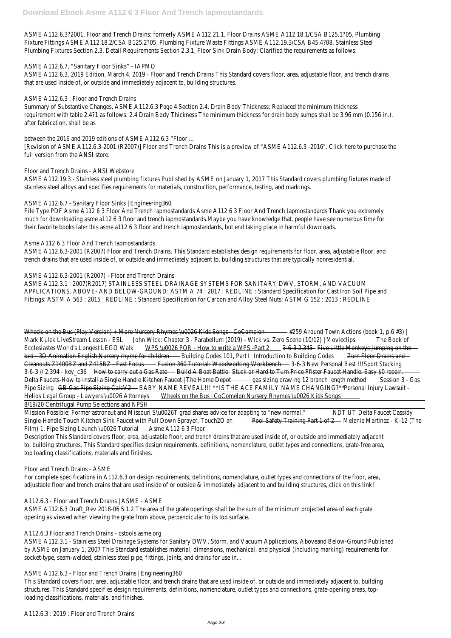ASME A112.6.3?2001, Floor and Trench Drains; formerly ASME A112.21.1, Floor Drains ASME A112.18.1/CSA B125.1?05, Plumbing Fixture Fittings ASME A112.18.2/CSA B125.2?05, Plumbing Fixture Waste Fittings ASME A112.19.3/CSA B45.4?08, Stainless Steel Plumbing Fixtures Section 2.3, Detail Requirements Section 2.3.1, Floor Sink Drain Body: Clarified the requirements as follows:

## ASME A112.6.7, "Sanitary Floor Sinks" - IAPMO

ASME A112.6.3, 2019 Edition, March 4, 2019 - Floor and Trench Drains This Standard covers floor, area, adjustable floor, and trench drains that are used inside of, or outside and immediately adjacent to, building structures.

## ASME A112.6.3 : Floor and Trench Drains

Summary of Substantive Changes, ASME A112.6.3 Page 4 Section 2.4, Drain Body Thickness: Replaced the minimum thickness requirement with table 2.4?1 as follows: 2.4 Drain Body Thickness The minimum thickness for drain body sumps shall be 3.96 mm (0.156 in.). after fabrication, shall be as

## between the 2016 and 2019 editions of ASME A112.6.3 "Floor ...

[Revision of ASME A112.6.3-2001 (R2007)] Floor and Trench Drains This is a preview of "ASME A112.6.3 -2016". Click here to purchase the full version from the ANSI store.

## Floor and Trench Drains - ANSI Webstore

ASME A112.19.3 - Stainless steel plumbing fixtures Published by ASME on January 1, 2017 This Standard covers plumbing fixtures made of stainless steel alloys and specifies requirements for materials, construction, performance, testing, and markings.

## ASME A112.6.7 - Sanitary Floor Sinks | Engineering360

File Type PDF Asme A112 6 3 Floor And Trench Iapmostandards Asme A112 6 3 Floor And Trench Iapmostandards Thank you extremely much for downloading asme a112 6 3 floor and trench iapmostandards.Maybe you have knowledge that, people have see numerous time for their favorite books later this asme a112 6 3 floor and trench iapmostandards, but end taking place in harmful downloads.

## Asme A112 6 3 Floor And Trench Iapmostandards

ASME A112.6.3-2001 (R2007) Floor and Trench Drains. This Standard establishes design requirements for floor, area, adjustable floor, and trench drains that are used inside of, or outside and immediately adjacent to, building structures that are typically nonresidential.

| Wheels on the Bus (Play Version) + More Nursery Rhymes \u0026 Kids Songs - CoComelon #259 Around Town Actions (book 1, p.6 #3)                  |                                                                                     |                                                                                                                |                                                               |  |  |
|-------------------------------------------------------------------------------------------------------------------------------------------------|-------------------------------------------------------------------------------------|----------------------------------------------------------------------------------------------------------------|---------------------------------------------------------------|--|--|
| Mark Kulek LiveStream Lesson - ESL                                                                                                              | John Wick: Chapter 3 - Parabellum (2019) - Wick vs. Zero Scene (10/12)   Movieclips |                                                                                                                | The Book of                                                   |  |  |
| Ecclesiastes World's Longest LEGO Walk                                                                                                          |                                                                                     | WPS \u0026 PQR - How to write a WPS -Part 2 _________________ 3-6-3 2.345 - Five Little Monkeys Jumping on the |                                                               |  |  |
| bed - 3D Animation English Nursery rhyme for children                                                                                           |                                                                                     | Building Codes 101, Part I: Introduction to Building Codes                                                     | Zurn Floor Drains and                                         |  |  |
| Cleanouts 21400BZ and Z415BZ - Fast Focus Fusion 360 Tutorial: Woodworking Workbench 36-3 New Personal Best !!!Sport Stacking                   |                                                                                     |                                                                                                                |                                                               |  |  |
| 3-6-3 // 2.394 - key_c36 How to carry out a Gas Rate                                                                                            |                                                                                     | Build A Boat Battle 51 Stuck or Hard to Turn Price Pfister Faucet Handle. Easy \$0 repair.                     |                                                               |  |  |
| Delta Faucets-How to Install a Single Handle Kitchen Faucet   The Home Depot - - - - - gas sizing drawing 12 branch length method               |                                                                                     |                                                                                                                | Session 3 - Gas                                               |  |  |
| Pipe Sizing                                                                                                                                     | GB Gas Pipe Sizing CalcV2 BABY NAME REVEAL!!! ** IS THE ACE FAMILY NAME CHANGING?** |                                                                                                                | Personal Injury Lawsuit -                                     |  |  |
| Helios Legal Group - Lawyers \u0026 Attorneys                                                                                                   |                                                                                     | Wheels on the Bus   CoComelon Nursery Rhymes \u0026 Kids Songs                                                 |                                                               |  |  |
| 8/19/20 Centrifugal Pump Selections and NPSH                                                                                                    |                                                                                     |                                                                                                                |                                                               |  |  |
| Mission Possible: Former astronaut and Missouri S\u0026T grad shares advice for adapting to "new normal."                                       |                                                                                     |                                                                                                                | NDT UT<br>Delta Faucet Cassidy                                |  |  |
| Single-Handle Touch Kitchen Sink Faucet with Pull Down Sprayer, Touch20 an                                                                      |                                                                                     |                                                                                                                | Pool Safety Training Part 1 of 2 Melanie Martinez - K-12 (The |  |  |
| Film) 1. Pipe Sizing Launch \u0026 Tutorial Asme A112 6 3 Floor                                                                                 |                                                                                     |                                                                                                                |                                                               |  |  |
| Description This Standard covers floor, area, adjustable floor, and trench drains that are used inside of, or outside and immediately adjacent  |                                                                                     |                                                                                                                |                                                               |  |  |
| to, building structures. This Standard specifies design requirements, definitions, nomenclature, outlet types and connections, grate-free area, |                                                                                     |                                                                                                                |                                                               |  |  |
| top loading classifications, materials and finishes.                                                                                            |                                                                                     |                                                                                                                |                                                               |  |  |
|                                                                                                                                                 |                                                                                     |                                                                                                                |                                                               |  |  |

### ASME A112.6.3-2001 (R2007) - Floor and Trench Drains

ASME A112.3.1 : 2007(R2017) STAINLESS STEEL DRAINAGE SYSTEMS FOR SANITARY DWV, STORM, AND VACUUM APPLICATIONS, ABOVE- AND BELOW-GROUND: ASTM A 74 : 2017 : REDLINE : Standard Specification for Cast Iron Soil Pipe and Fittings: ASTM A 563 : 2015 : REDLINE : Standard Specification for Carbon and Alloy Steel Nuts: ASTM G 152 : 2013 : REDLINE

### Floor and Trench Drains - ASME

For complete specifications in A112.6.3 on design requirements, definitions, nomenclature, outlet types and connections of the floor, area,

adjustable floor and trench drains that are used inside of or outside & immediately adjacent to and building structures, click on this link!

A112.6.3 - Floor and Trench Drains | ASME - ASME

ASME A112.6.3 Draft\_Rev 2018-06 5.1.2 The area of the grate openings shall be the sum of the minimum projected area of each grate opening as viewed when viewing the grate from above, perpendicular to its top surface.

A112.6.3 Floor and Trench Drains - cstools.asme.org

ASME A112.3.1 - Stainless Steel Drainage Systems for Sanitary DWV, Storm, and Vacuum Applications, Aboveand Below-Ground Published by ASME on January 1, 2007 This Standard establishes material, dimensions, mechanical, and physical (including marking) requirements for socket-type, seam-welded, stainless steel pipe, fittings, joints, and drains for use in...

ASME A112.6.3 - Floor and Trench Drains | Engineering360

This Standard covers floor, area, adjustable floor, and trench drains that are used inside of, or outside and immediately adjacent to, building structures. This Standard specifies design requirements, definitions, nomenclature, outlet types and connections, grate-opening areas, toploading classifications, materials, and finishes.

A112.6.3 : 2019 : Floor and Trench Drains